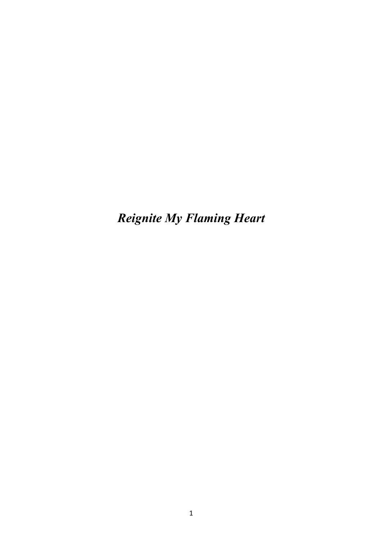*Reignite My Flaming Heart*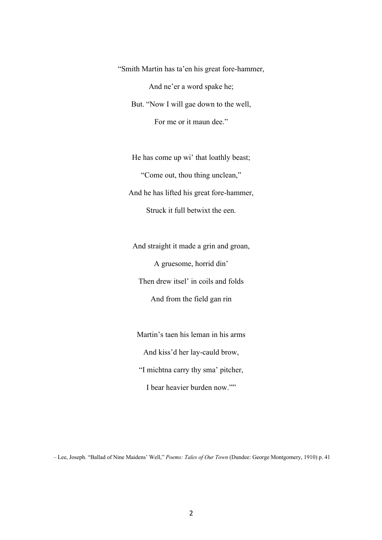"Smith Martin has ta'en his great fore-hammer, And ne'er a word spake he; But. "Now I will gae down to the well, For me or it maun dee."

He has come up wi' that loathly beast; "Come out, thou thing unclean," And he has lifted his great fore-hammer, Struck it full betwixt the een.

And straight it made a grin and groan, A gruesome, horrid din' Then drew itsel' in coils and folds And from the field gan rin

Martin's taen his leman in his arms And kiss'd her lay-cauld brow, "I michtna carry thy sma' pitcher, I bear heavier burden now.""

– Lee, Joseph. "Ballad of Nine Maidens' Well," *Poems: Tales of Our Town* (Dundee: George Montgomery, 1910) p. 41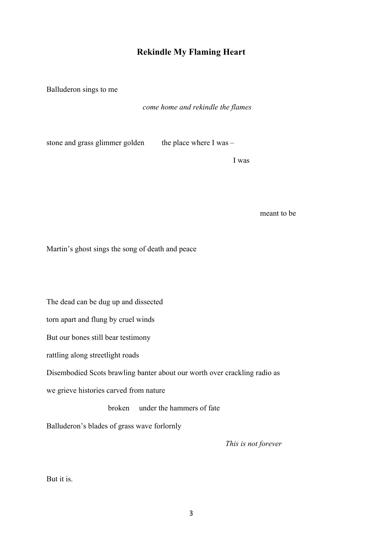## **Rekindle My Flaming Heart**

Balluderon sings to me

*come home and rekindle the flames*

stone and grass glimmer golden the place where I was  $-$ 

I was

meant to be

Martin's ghost sings the song of death and peace

The dead can be dug up and dissected

torn apart and flung by cruel winds

But our bones still bear testimony

rattling along streetlight roads

Disembodied Scots brawling banter about our worth over crackling radio as

we grieve histories carved from nature

broken under the hammers of fate

Balluderon's blades of grass wave forlornly

 *This is not forever*

But it is.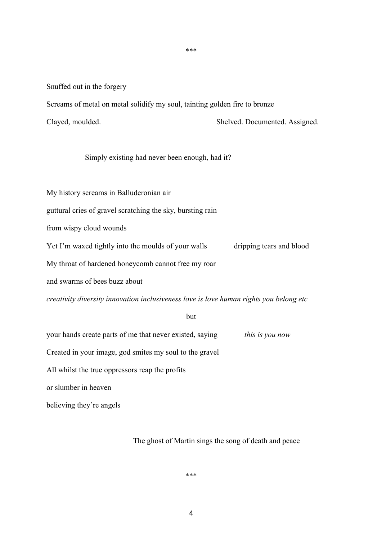\*\*\*

Snuffed out in the forgery

Screams of metal on metal solidify my soul, tainting golden fire to bronze

Clayed, moulded. Shelved. Documented. Assigned.

Simply existing had never been enough, had it?

My history screams in Balluderonian air

guttural cries of gravel scratching the sky, bursting rain

from wispy cloud wounds

Yet I'm waxed tightly into the moulds of your walls dripping tears and blood

My throat of hardened honeycomb cannot free my roar

and swarms of bees buzz about

*creativity diversity innovation inclusiveness love is love human rights you belong etc*

but

your hands create parts of me that never existed, saying *this is you now*

Created in your image, god smites my soul to the gravel

All whilst the true oppressors reap the profits

or slumber in heaven

believing they're angels

The ghost of Martin sings the song of death and peace

\*\*\*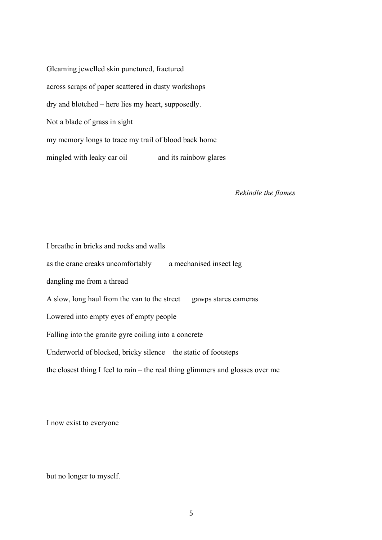Gleaming jewelled skin punctured, fractured across scraps of paper scattered in dusty workshops dry and blotched – here lies my heart, supposedly. Not a blade of grass in sight my memory longs to trace my trail of blood back home mingled with leaky car oil and its rainbow glares

*Rekindle the flames*

I breathe in bricks and rocks and walls as the crane creaks uncomfortably a mechanised insect leg dangling me from a thread A slow, long haul from the van to the street gawps stares cameras Lowered into empty eyes of empty people Falling into the granite gyre coiling into a concrete Underworld of blocked, bricky silence the static of footsteps the closest thing I feel to rain – the real thing glimmers and glosses over me

I now exist to everyone

but no longer to myself.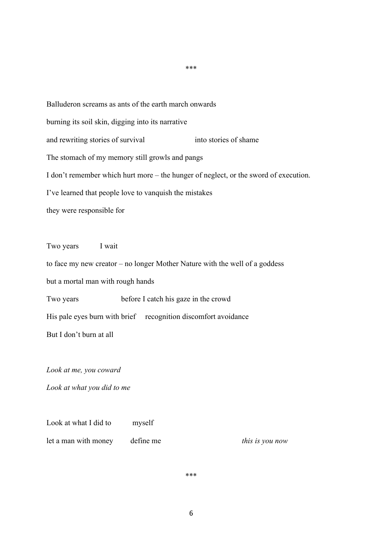Balluderon screams as ants of the earth march onwards burning its soil skin, digging into its narrative and rewriting stories of survival into stories of shame The stomach of my memory still growls and pangs I don't remember which hurt more – the hunger of neglect, or the sword of execution. I've learned that people love to vanquish the mistakes they were responsible for

Two years I wait

to face my new creator – no longer Mother Nature with the well of a goddess

but a mortal man with rough hands

Two years before I catch his gaze in the crowd

His pale eyes burn with brief recognition discomfort avoidance

But I don't burn at all

*Look at me, you coward*

*Look at what you did to me* 

Look at what I did to myself let a man with money define me *this is you now*

\*\*\*

6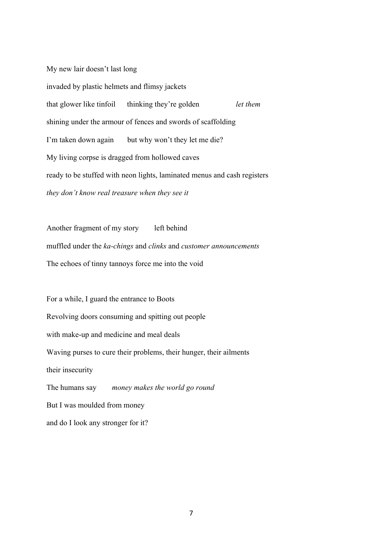My new lair doesn't last long

invaded by plastic helmets and flimsy jackets that glower like tinfoil thinking they're golden *let them* shining under the armour of fences and swords of scaffolding I'm taken down again but why won't they let me die? My living corpse is dragged from hollowed caves ready to be stuffed with neon lights, laminated menus and cash registers *they don't know real treasure when they see it*

Another fragment of my story left behind muffled under the *ka-chings* and *clinks* and *customer announcements* The echoes of tinny tannoys force me into the void

For a while, I guard the entrance to Boots Revolving doors consuming and spitting out people with make-up and medicine and meal deals Waving purses to cure their problems, their hunger, their ailments their insecurity The humans say *money makes the world go round* But I was moulded from money and do I look any stronger for it?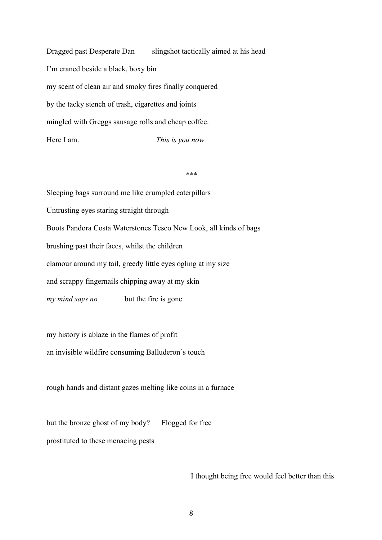Dragged past Desperate Dan slingshot tactically aimed at his head I'm craned beside a black, boxy bin my scent of clean air and smoky fires finally conquered by the tacky stench of trash, cigarettes and joints mingled with Greggs sausage rolls and cheap coffee. Here I am. *This is you now*

*\*\*\**

Sleeping bags surround me like crumpled caterpillars Untrusting eyes staring straight through Boots Pandora Costa Waterstones Tesco New Look, all kinds of bags brushing past their faces, whilst the children clamour around my tail, greedy little eyes ogling at my size and scrappy fingernails chipping away at my skin *my mind says no* but the fire is gone

my history is ablaze in the flames of profit

an invisible wildfire consuming Balluderon's touch

rough hands and distant gazes melting like coins in a furnace

but the bronze ghost of my body? Flogged for free prostituted to these menacing pests

I thought being free would feel better than this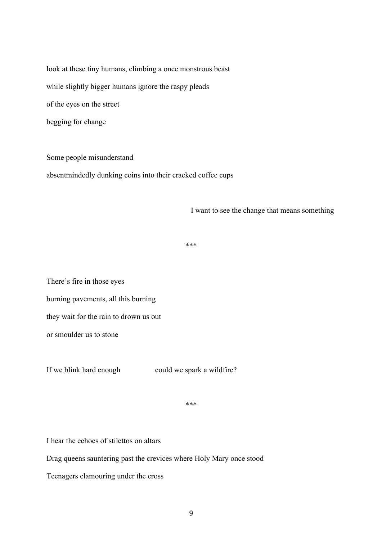look at these tiny humans, climbing a once monstrous beast while slightly bigger humans ignore the raspy pleads of the eyes on the street begging for change

Some people misunderstand absentmindedly dunking coins into their cracked coffee cups

I want to see the change that means something

\*\*\*

There's fire in those eyes burning pavements, all this burning they wait for the rain to drown us out or smoulder us to stone

If we blink hard enough could we spark a wildfire?

\*\*\*

I hear the echoes of stilettos on altars

Drag queens sauntering past the crevices where Holy Mary once stood

Teenagers clamouring under the cross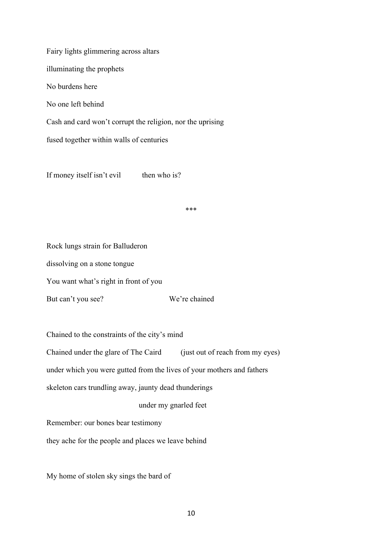Fairy lights glimmering across altars illuminating the prophets No burdens here No one left behind Cash and card won't corrupt the religion, nor the uprising fused together within walls of centuries

If money itself isn't evil then who is?

\*\*\*

Rock lungs strain for Balluderon

dissolving on a stone tongue

You want what's right in front of you

But can't you see? We're chained

Chained to the constraints of the city's mind

Chained under the glare of The Caird (just out of reach from my eyes)

under which you were gutted from the lives of your mothers and fathers

skeleton cars trundling away, jaunty dead thunderings

under my gnarled feet

Remember: our bones bear testimony

they ache for the people and places we leave behind

My home of stolen sky sings the bard of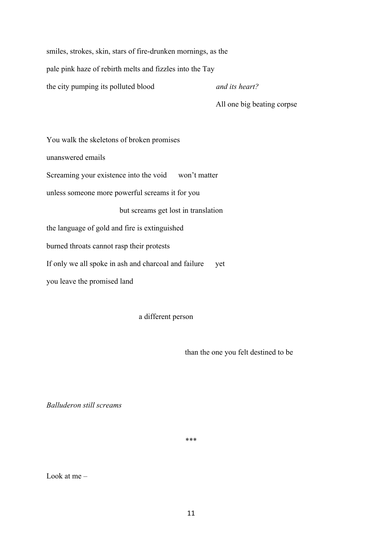smiles, strokes, skin, stars of fire-drunken mornings, as the

pale pink haze of rebirth melts and fizzles into the Tay

the city pumping its polluted blood *and its heart?*

All one big beating corpse

You walk the skeletons of broken promises unanswered emails Screaming your existence into the void won't matter unless someone more powerful screams it for you but screams get lost in translation the language of gold and fire is extinguished burned throats cannot rasp their protests If only we all spoke in ash and charcoal and failure yet you leave the promised land

a different person

than the one you felt destined to be

*Balluderon still screams*

\*\*\*

Look at me –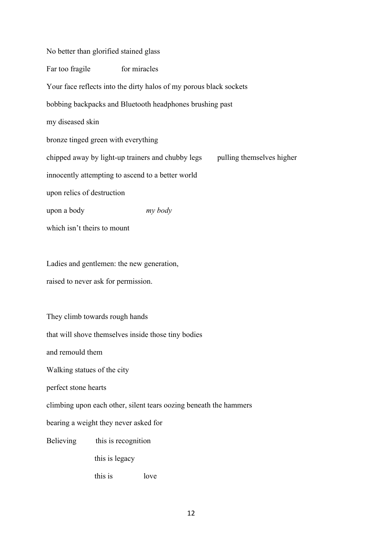No better than glorified stained glass Far too fragile for miracles Your face reflects into the dirty halos of my porous black sockets bobbing backpacks and Bluetooth headphones brushing past my diseased skin bronze tinged green with everything chipped away by light-up trainers and chubby legs pulling themselves higher innocently attempting to ascend to a better world upon relics of destruction upon a body *my body* which isn't theirs to mount Ladies and gentlemen: the new generation, raised to never ask for permission. They climb towards rough hands that will shove themselves inside those tiny bodies and remould them Walking statues of the city perfect stone hearts climbing upon each other, silent tears oozing beneath the hammers bearing a weight they never asked for

Believing this is recognition

this is legacy

this is love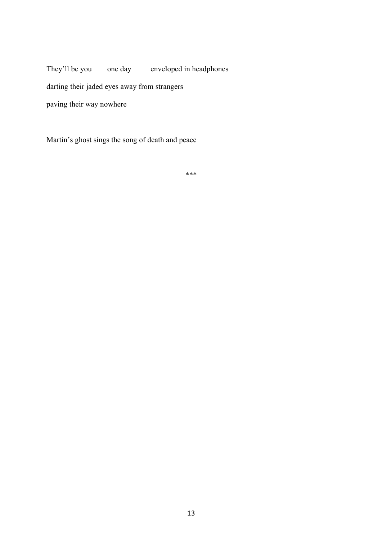They'll be you one day enveloped in headphones darting their jaded eyes away from strangers paving their way nowhere

Martin's ghost sings the song of death and peace

\*\*\*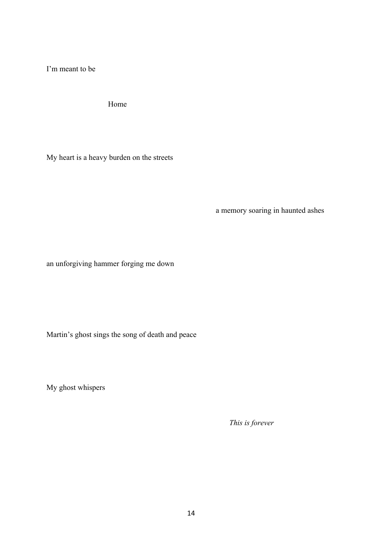I'm meant to be

Home

My heart is a heavy burden on the streets

a memory soaring in haunted ashes

an unforgiving hammer forging me down

Martin's ghost sings the song of death and peace

My ghost whispers

 *This is forever*